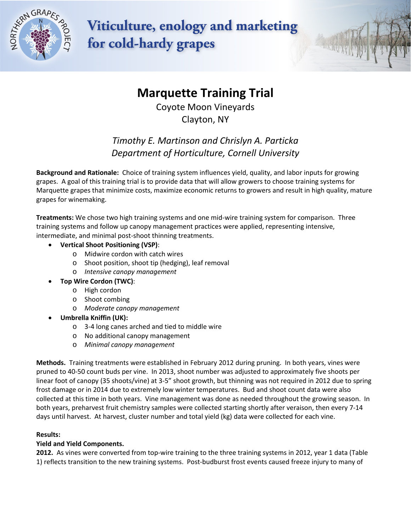

**Viticulture, enology and marketing** for cold-hardy grapes

# **Marquette Training Trial**

Coyote Moon Vineyards Clayton, NY

## *Timothy E. Martinson and Chrislyn A. Particka Department of Horticulture, Cornell University*

**Background and Rationale:** Choice of training system influences yield, quality, and labor inputs for growing grapes. A goal of this training trial is to provide data that will allow growers to choose training systems for Marquette grapes that minimize costs, maximize economic returns to growers and result in high quality, mature grapes for winemaking.

**Treatments:** We chose two high training systems and one mid-wire training system for comparison. Three training systems and follow up canopy management practices were applied, representing intensive, intermediate, and minimal post-shoot thinning treatments.

- **Vertical Shoot Positioning (VSP)**:
	- o Midwire cordon with catch wires
	- o Shoot position, shoot tip (hedging), leaf removal
	- o *Intensive canopy management*
- **Top Wire Cordon (TWC)**:
	- o High cordon
	- o Shoot combing
	- o *Moderate canopy management*
- **Umbrella Kniffin (UK):**
	- o 3-4 long canes arched and tied to middle wire
	- o No additional canopy management
	- o *Minimal canopy management*

**Methods.** Training treatments were established in February 2012 during pruning. In both years, vines were pruned to 40-50 count buds per vine. In 2013, shoot number was adjusted to approximately five shoots per linear foot of canopy (35 shoots/vine) at 3-5" shoot growth, but thinning was not required in 2012 due to spring frost damage or in 2014 due to extremely low winter temperatures. Bud and shoot count data were also collected at this time in both years. Vine management was done as needed throughout the growing season. In both years, preharvest fruit chemistry samples were collected starting shortly after veraison, then every 7-14 days until harvest. At harvest, cluster number and total yield (kg) data were collected for each vine.

### **Results:**

### **Yield and Yield Components.**

**2012.** As vines were converted from top-wire training to the three training systems in 2012, year 1 data (Table 1) reflects transition to the new training systems. Post-budburst frost events caused freeze injury to many of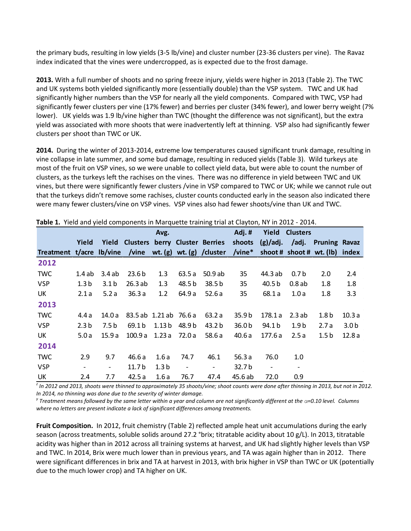the primary buds, resulting in low yields (3-5 lb/vine) and cluster number (23-36 clusters per vine). The Ravaz index indicated that the vines were undercropped, as is expected due to the frost damage.

**2013.** With a full number of shoots and no spring freeze injury, yields were higher in 2013 (Table 2). The TWC and UK systems both yielded significantly more (essentially double) than the VSP system. TWC and UK had significantly higher numbers than the VSP for nearly all the yield components. Compared with TWC, VSP had significantly fewer clusters per vine (17% fewer) and berries per cluster (34% fewer), and lower berry weight (7% lower). UK yields was 1.9 lb/vine higher than TWC (thought the difference was not significant), but the extra yield was associated with more shoots that were inadvertently left at thinning. VSP also had significantly fewer clusters per shoot than TWC or UK.

**2014.** During the winter of 2013-2014, extreme low temperatures caused significant trunk damage, resulting in vine collapse in late summer, and some bud damage, resulting in reduced yields (Table 3). Wild turkeys ate most of the fruit on VSP vines, so we were unable to collect yield data, but were able to count the number of clusters, as the turkeys left the rachises on the vines. There was no difference in yield between TWC and UK vines, but there were significantly fewer clusters /vine in VSP compared to TWC or UK; while we cannot rule out that the turkeys didn't remove some rachises, cluster counts conducted early in the season also indicated there were many fewer clusters/vine on VSP vines. VSP vines also had fewer shoots/vine than UK and TWC.

| There are from components in margaette training that at                                       |                          |                          |                        |                   |                          |                                                                          |                   |                          |                          |                  |                  |
|-----------------------------------------------------------------------------------------------|--------------------------|--------------------------|------------------------|-------------------|--------------------------|--------------------------------------------------------------------------|-------------------|--------------------------|--------------------------|------------------|------------------|
|                                                                                               |                          |                          |                        | Avg.              |                          |                                                                          | Adj.#             | Yield                    | <b>Clusters</b>          |                  |                  |
|                                                                                               | Yield                    |                          |                        |                   |                          | Yield Clusters berry Cluster Berries shoots (g)/adj. /adj. Pruning Ravaz |                   |                          |                          |                  |                  |
| Treatment t/acre lb/vine /vine wt. (g) wt. (g) /cluster /vine* shoot # shoot # wt. (lb) index |                          |                          |                        |                   |                          |                                                                          |                   |                          |                          |                  |                  |
| 2012                                                                                          |                          |                          |                        |                   |                          |                                                                          |                   |                          |                          |                  |                  |
| <b>TWC</b>                                                                                    | 1.4ab                    | 3.4ab                    | 23.6 <sub>b</sub>      | 1.3               | 63.5 a                   | 50.9 ab                                                                  | 35                | 44.3 ab                  | 0.7 <sub>b</sub>         | 2.0              | 2.4              |
| <b>VSP</b>                                                                                    | 1.3 <sub>b</sub>         | 3.1 <sub>b</sub>         | 26.3ab                 | 1.3               | 48.5 b                   | 38.5 <sub>b</sub>                                                        | 35                | 40.5 b                   | $0.8$ ab                 | 1.8              | 1.8              |
| UK                                                                                            | 2.1a                     | 5.2a                     | 36.3a                  | 1.2               | 64.9 a                   | 52.6a                                                                    | 35                | 68.1 a                   | 1.0a                     | 1.8              | 3.3              |
| 2013                                                                                          |                          |                          |                        |                   |                          |                                                                          |                   |                          |                          |                  |                  |
| <b>TWC</b>                                                                                    | 4.4 a                    | 14.0 a                   | 83.5 ab 1.21 ab 76.6 a |                   |                          | 63.2 a                                                                   | 35.9 <sub>b</sub> | 178.1 a                  | 2.3ab                    | 1.8 <sub>b</sub> | 10.3a            |
| <b>VSP</b>                                                                                    | 2.3 <sub>b</sub>         | 7.5 b                    | 69.1 b                 | 1.13 <sub>b</sub> | 48.9 b                   | 43.2 <sub>b</sub>                                                        | 36.0 <sub>b</sub> | 94.1 b                   | 1.9 <sub>b</sub>         | 2.7a             | 3.0 <sub>b</sub> |
| UK                                                                                            | 5.0a                     | 15.9 a                   | 100.9a                 |                   | 1.23 a 72.0 a            | 58.6 a                                                                   | 40.6 a            | 177.6 a                  | 2.5a                     | 1.5 <sub>b</sub> | 12.8a            |
| 2014                                                                                          |                          |                          |                        |                   |                          |                                                                          |                   |                          |                          |                  |                  |
| <b>TWC</b>                                                                                    | 2.9                      | 9.7                      | 46.6 a                 | 1.6a              | 74.7                     | 46.1                                                                     | 56.3 $a$          | 76.0                     | 1.0                      |                  |                  |
| <b>VSP</b>                                                                                    | $\overline{\phantom{0}}$ | $\overline{\phantom{0}}$ | 11.7 <sub>b</sub>      | 1.3 <sub>b</sub>  | $\overline{\phantom{a}}$ | $\overline{\phantom{a}}$                                                 | 32.7 b            | $\overline{\phantom{a}}$ | $\overline{\phantom{a}}$ |                  |                  |
| UK                                                                                            | 2.4                      | 7.7                      | 42.5a                  | 1.6a              | 76.7                     | 47.4                                                                     | 45.6 ab           | 72.0                     | 0.9                      |                  |                  |

**Table 1.** Yield and yield components in Marquette training trial at Clayton, NY in 2012 - 2014.

*z In 2012 and 2013, shoots were thinned to approximately 35 shoots/vine; shoot counts were done after thinning in 2013, but not in 2012.*

In 2014, no thinning was done due to the severity of winter damage.<br><sup>y</sup> Treatment means followed by the same letter within a year and column are not significantly different at the  $\alpha$ =0.10 level. Columns *where no letters are present indicate a lack of significant differences among treatments.*

**Fruit Composition.** In 2012, fruit chemistry (Table 2) reflected ample heat unit accumulations during the early season (across treatments, soluble solids around 27.2 °brix; titratable acidity about 10 g/L). In 2013, titratable acidity was higher than in 2012 across all training systems at harvest, and UK had slightly higher levels than VSP and TWC. In 2014, Brix were much lower than in previous years, and TA was again higher than in 2012. There were significant differences in brix and TA at harvest in 2013, with brix higher in VSP than TWC or UK (potentially due to the much lower crop) and TA higher on UK.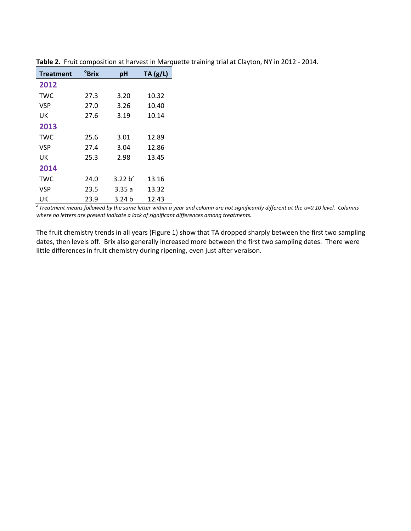| <b>Treatment</b> | <sup>o</sup> Brix | pH         | TA(g/L) |
|------------------|-------------------|------------|---------|
| 2012             |                   |            |         |
| <b>TWC</b>       | 27.3              | 3.20       | 10.32   |
| <b>VSP</b>       | 27.0              | 3.26       | 10.40   |
| UK               | 27.6              | 3.19       | 10.14   |
| 2013             |                   |            |         |
| <b>TWC</b>       | 25.6              | 3.01       | 12.89   |
| <b>VSP</b>       | 27.4              | 3.04       | 12.86   |
| UK               | 25.3              | 2.98       | 13.45   |
| 2014             |                   |            |         |
| <b>TWC</b>       | 24.0              | 3.22 $h^2$ | 13.16   |
| VSP              | 23.5              | 3.35 a     | 13.32   |
| UK               | 23.9              | 3.24 h     | 12.43   |

**Table 2.** Fruit composition at harvest in Marquette training trial at Clayton, NY in 2012 - 2014.

*z Treatment means followed by the same letter within a year and column are not significantly different at the α=0.10 level. Columns where no letters are present indicate a lack of significant differences among treatments.*

The fruit chemistry trends in all years (Figure 1) show that TA dropped sharply between the first two sampling dates, then levels off. Brix also generally increased more between the first two sampling dates. There were little differences in fruit chemistry during ripening, even just after veraison.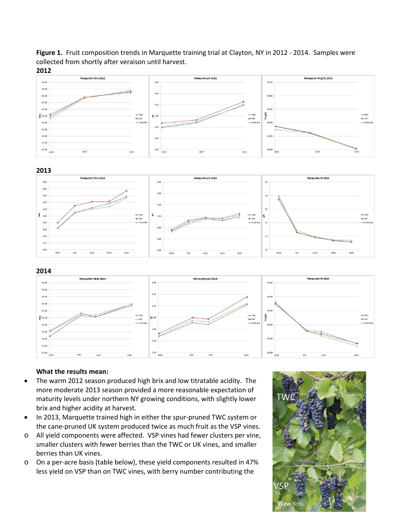Figure 1. Fruit composition trends in Marquette training trial at Clayton, NY in 2012 - 2014. Samples were collected from shortly after veraison until harvest.



 $9/17$ 

 $-vs$ 

 $10/9$ 

15.0

#### **What the results mean:**

16.0 14.0

12.0

10.00

• The warm 2012 season produced high brix and low titratable acidity. The more moderate 2013 season provided a more reasonable expectation of maturity levels under northern NY growing conditions, with slightly lower brix and higher acidity at harvest.

 $10/9$ 

2.60

 $2.40$   $8/20$ 

- In 2013, Marquette trained high in either the spur-pruned TWC system or the cane-pruned UK system produced twice as much fruit as the VSP vines.
- o All yield components were affected. VSP vines had fewer clusters per vine, smaller clusters with fewer berries than the TWC or UK vines, and smaller berries than UK vines.
- o On a per-acre basis (table below), these yield components resulted in 47% less yield on VSP than on TWC vines, with berry number contributing the

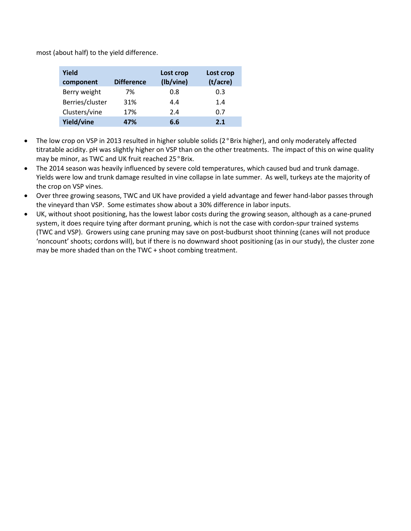most (about half) to the yield difference.

| Yield<br>component | <b>Difference</b> | Lost crop<br>(lb/vine) | Lost crop<br>(t/acre) |
|--------------------|-------------------|------------------------|-----------------------|
| Berry weight       | 7%                | 0.8                    | 0.3                   |
| Berries/cluster    | 31%               | 4.4                    | 1.4                   |
| Clusters/vine      | 17%               | 2.4                    | 0.7                   |
| Yield/vine         | 47%               | 6.6                    | 2.1                   |

- The low crop on VSP in 2013 resulted in higher soluble solids (2°Brix higher), and only moderately affected titratable acidity. pH was slightly higher on VSP than on the other treatments. The impact of this on wine quality may be minor, as TWC and UK fruit reached 25°Brix.
- The 2014 season was heavily influenced by severe cold temperatures, which caused bud and trunk damage. Yields were low and trunk damage resulted in vine collapse in late summer. As well, turkeys ate the majority of the crop on VSP vines.
- Over three growing seasons, TWC and UK have provided a yield advantage and fewer hand-labor passes through the vineyard than VSP. Some estimates show about a 30% difference in labor inputs.
- UK, without shoot positioning, has the lowest labor costs during the growing season, although as a cane-pruned system, it does require tying after dormant pruning, which is not the case with cordon-spur trained systems (TWC and VSP). Growers using cane pruning may save on post-budburst shoot thinning (canes will not produce 'noncount' shoots; cordons will), but if there is no downward shoot positioning (as in our study), the cluster zone may be more shaded than on the TWC + shoot combing treatment.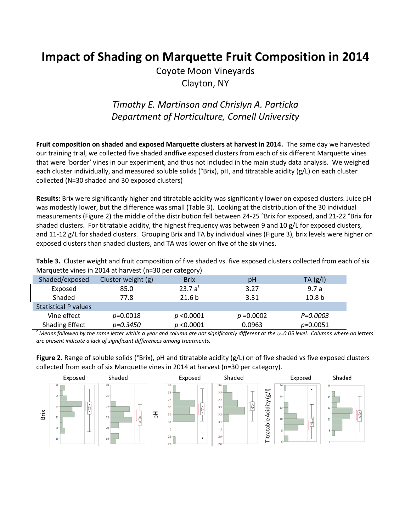# **Impact of Shading on Marquette Fruit Composition in 2014**

Coyote Moon Vineyards Clayton, NY

## *Timothy E. Martinson and Chrislyn A. Particka Department of Horticulture, Cornell University*

**Fruit composition on shaded and exposed Marquette clusters at harvest in 2014.** The same day we harvested our training trial, we collected five shaded andfive exposed clusters from each of six different Marquette vines that were 'border' vines in our experiment, and thus not included in the main study data analysis. We weighed each cluster individually, and measured soluble solids (°Brix), pH, and titratable acidity (g/L) on each cluster collected (N=30 shaded and 30 exposed clusters)

**Results:** Brix were significantly higher and titratable acidity was significantly lower on exposed clusters. Juice pH was modestly lower, but the difference was small (Table 3). Looking at the distribution of the 30 individual measurements (Figure 2) the middle of the distribution fell between 24-25 °Brix for exposed, and 21-22 °Brix for shaded clusters. For titratable acidity, the highest frequency was between 9 and 10 g/L for exposed clusters, and 11-12 g/L for shaded clusters. Grouping Brix and TA by individual vines (Figure 3), brix levels were higher on exposed clusters than shaded clusters, and TA was lower on five of the six vines.

**Table 3.** Cluster weight and fruit composition of five shaded vs. five exposed clusters collected from each of six Marquette vines in 2014 at harvest (n=30 per category)

|                    | - 5               |              |                   |
|--------------------|-------------------|--------------|-------------------|
| Cluster weight (g) | <b>Brix</b>       | pH           | TA(g/l)           |
| 85.0               | 23.7 $a^2$        | 3.27         | 9.7a              |
| 77.8               | 21.6 <sub>b</sub> | 3.31         | 10.8 <sub>b</sub> |
|                    |                   |              |                   |
| $p = 0.0018$       | p < 0.0001        | $p = 0.0002$ | P=0.0003          |
| p=0.3450           | $p$ <0.0001       | 0.0963       | $p=0.0051$        |
|                    |                   |              |                   |

*z Means followed by the same letter within a year and column are not significantly different at the α=0.05 level. Columns where no letters are present indicate a lack of significant differences among treatments.*

**Figure 2.** Range of soluble solids (°Brix), pH and titratable acidity (g/L) on of five shaded vs five exposed clusters collected from each of six Marquette vines in 2014 at harvest (n=30 per category).